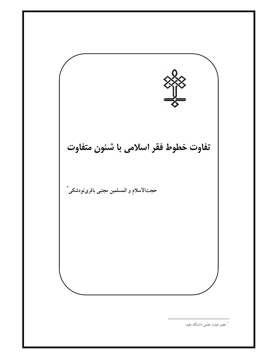تفاوت خطوط فقر اسلامي با شئون متفاوت حجت|لاسلام و المسلمين مجتبي باقرىتودشكي ٌ \*<br>\* عضو هیئت علمی دانشگاه مفید.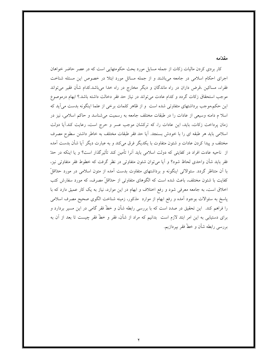#### مقدّمه

کار بردی کردن مالیات زکات از جمله مسایل مورد بحث حکومتهایی است که در عصر حاضر خواهان اجرای احکام اسلامی در جامعه میباشند و از جمله مسائل مورد ابتلا در خصوص این مسئله شناخت فقراء، مساکین ،قرض داران در راه ماندگان و دیگر مخارج در راه خدا میباشد.کدام شأن فقیر میتواند موجب استحقاق زكات گردد و كدام عادت مى تواند در نياز حد فقر دخالت داشته باشد.؟ ابهام درموصوع این حکم،موجب برداشتهای متفاوتی شده است ً و از ظاهر کلمات برخی از علما اینگونه بدست می آید که اسلا م دامنه وسیعی از عادات را در طبقات مختلف جامعه به رسمیت می شناسد و حاکم اسلامی، نیز در زمان پرداخت زکات، باید، این عادات را، که ترکشان موجب عسر و حرج است، رعایت کند.آیا دولت اسلامی باید هر طبقه ای را با خودش بسنجد. آیا حد فقر طبقات مختلف به خاطر داشتن سطوح مصرف مختلف و پیدا کردن عادات و شئون متفاوت با یکدیگر فرق می کند و به عبارت دیگر آیا شأن بدست آمده از ناحیه عادت افراد در کفایتی که دولت اسلامی باید آنرا تأمین کند تأثیرگذار است؟ و یا اینکه در حدّ فقر باید شأن واحدی لحاظ شود؟ و آیا میٍتوان شئون متفاوتی در نظر گرفت که خطوط فقر متفاوتی نیز، با آن متناظر گردد. سئوالاتی اینگونه و برداشتهای متفاوت بدست آمده از متون اسلامی در مورد حدّاقلّ کفایت با شئون مختلف، باعث شده است که الگوهای متفاوتی از حدّاقلٌ مصرف، که مورد سفارش کتب اخلاق است، به جامعه معرفی شود و رفع اختلاف و ابهام در این موارد، نیاز به یک کار عمیق دارد که با پاسخ به سئوالات بوجود آمده و رفع ابهام از موارد ًمذكور، زمينه شناخت الگوى صحيح مصرف اسلامى را فراهم کند. این تحقیق در صدد است که با بررسی رابطه شأن و خطّ فقر گامی در این مسیر بردارد و برای دستیابی به این امر ابتد لازم است ً بدانیم که مراد از شأن، فقر و خطّ فقر چیست تا بعد از آن به بررسی رابطه شأن و خطّ فقر بیردازیم.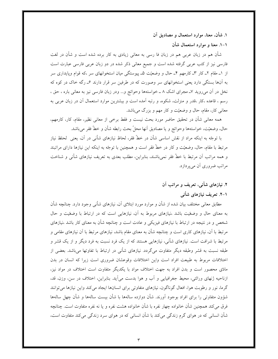۱. شأن، معنا، موارد استعمال و مصاديق آن

۱–۱. معنا و موارد استعمال شأن

شأن هم در زبان عربی هم در زبان فا رسی به معانی زیادی به کار برده شده است و شأن در لغت فارسی نیز از کتب عربی گرفته شده است و جمیع معانی ذکر شده در دو زبان عربی فارسی عبارت است از ۱ـ مقام ۲ـ کار ۳ـ کارمهم ۴ـ حال و وضعیّت ۵ـ پیوستگی میان استخوانهای سر ،که قوام وپایداری سر به آنها بستگی دارد یعنی استخوانهای سر وصورت که در طرفین سر قرار دارند ۶ـ رگه خاک در کوه که نخل در آن میروید ۷ـ مجرای اشک ۸ ــ خواستهها وحوائج و… ودر زبان فارسی نیز به معانی باره ، حق ، رسم ، قاعده ،کار ،قدر و منزلت، شکوه، و رتبه آمده است و بیشترین موارد استعمال آن در زبان عربی به معاني کار، مقام، حال و وضعيّت و کار مهم و بزرگ مي باشد.

همه معانی شأن در تحقیق حاضر مورد بحث نیست و فقط برخی از معانی نظیر، مقام، کار، کارمهم، حال، وضعيّت، خواستهها وحوائج و يا مصاديق أنها محلّ بحث رابطه شأن و خطّ فقر مىباشد.

با توجّه به اینکه مراد از نقش اساسی شأن در خطّ فقر، لحاظ نیازهای شأنی در آن، یعنی ًلحلظ نیاز مرتبط با مقام، حال، وضعیّت و کار در خطّ فقر است و همچنین با توجّه به اینکه این نیازها دارای مراتبند و همه مراتب أن مرتبط با خطّ فقر نميباشند، بنابراين، مطلب بعدي به تعريف نيازهاي شأني و شناخت مراتب ضروری آن می پردازد.

# ۲. نیازهای شأنبی، تعریف و مراتب آن

## ۱–۲. تعریف نیازهای شأنبی

مطابق معانی مختلف بیان شده از شأن و موارد مورد ابتلای آن، نیازهای شأنی وجود دارد. چنانچه شأن به معنای حال و وضعّیت باشد ،نیازهای مربوط به آن، نیازهایی است که در ارتباط با وضعّیت و حال شخص و در نتیجه در ارتباط با نیازهای فیزیکی و عادت است و چنانچه شأن به معنای کار باشد ،نیازهای مرتبط با آن، نیازهای کاری است و چنانچه شأن به معنای مقام باشد، نیازهای مرتبط با آن نیازهای مقامی و مرتبط با شرافت است. نیازهای شأنی، نیازهایی هستند که از یک فرد نسبت به فرد دیگر و از یک قشر و طبقه نسبت به قشر وطبقه دیگر متفاوت میگردد. نیازهای شأنی در ارتباط با تفاوتها میباشد. بعضی از اختلافات مربوط به طبیعت افراد است واین اختلافات وقوعشان ضروری است زیرا که انسان در بدن مادّی محصور است و بدن افراد به جهت اختلاف مواد با یکدیگر متفاوت است اختلاف در مواد نیز، ازناحیه ژنهای وراثتی، محیط جغرافیایی و آب و هوا بدست می آید. بنابراین، اختلاف در سن، وزن، قد، گرما، نور و رطوبت هوا، افعال گوناگون، نیازهای متفاوتی برای انسانها ایجاد می کند واین نیازها می توانند شؤون متفاوتي را براي افراد بوجود آورند. شأن دوازده سالهها با شأن بيست سالهها و شأن چهل سالهها فرق می کند همچنین شأن خانواده چهار نفره با شأن خانواده هشت نفره و یا نه نفره متفاوت است. چنانچه شأن انسانی که در هوای گرم زندگی میکند با شأن انسانی که در هوای سرد زندگی میکند متفاوت است،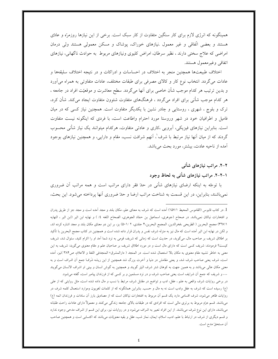همینگونه که انرژی لازم برای کار سنگین متفاوت از کار سبک است. برخی از این نیازها روزمرّه و عادّی هستند و بعضی اتّفاقی و غیر معمول نیازهای خوراک، پوشاک و مسکن معمولی هستند ولی درمان امراضی که علاج سختی دارند ، نظیر سرطان، امراض کلیوی ونیازهای مربوط به حوادث ناگهانی، نیازهای اتفاقي وغير معمول هستند.

اختلاف طبیعتها همچنین منجر به اختلاف در احساسات و ادراکات و در نتیجه اختلاف سلیقهها و عادات میگردد. انتخاب نوع کار و کالای مصرفی برای طبقات مختلف، عادات متفاوتی به همراه می آورد و بدین ترتیب هر کدام موجب شأن خاصی برای آنها میگردد. سطح معاشرت و موقعیّت افراد در جامعه ، هر کدام موجب شأنبی برای افراد می گردد ، فرهنگهای متفاوت شئوون متفاوت ایجاد می کند. شأن کرد، ترک و بلوچ ، شهری ، روستایی و چادر نشین با یکدیگر متفاوت است. همچنین نیاز کسی که در میان فامیل و اطرافیان خود در شهر وروستا مورد احترام واطاعت است، با فردی که اینگونه نیست متفاوت است. بنابراین نیازهای فیزیکی، آبرویی ،کاری و عادتی متفاوت، هرکدام میتوانند یک نیاز شأنی محسوب گردند که از میان آنها نیاز مرتبط با شرف ْ، آنهم شرافت نسب، مقام و دارایی، و همچنین نیازهای بوجود آمده از ناحیه عادت، بیشتر، مورد بحث میباشد.

#### ۲–۲. مراتب نیازهای شأنبی

## ۱–۲–۲. مراتب نیازهای شأنی به لحاظ وجود

با توجّه به اینکه ارضای نیازهای شأنی در حدّ فقر دارای مراتب است و همه مراتب آن ضروری نمي باشند، بنابراين، در اين قسمت به شناخت مراتب ارضا و حدّ ضروري أنها پرداخته مي شود. اين بحث،

… و شریف که جمع ان شرایف است یعنی صاحب شرف و در نزد مسلمین و بر کسی که از فرزندان پیامبر است، گفته میشود. در برخی روایات شرف واقعی به علم ، عقل، ادب و تواضع در مقابل شرف مرتبط با نسب و مال داده شده است، مثل روایتی که از علی (۶) رسیده است که شرف به عقل وادب است نه به مال و حسب. بنابراین همانگونه که از کلمات لغویون وموارد استعمال کلمه شرف در روایات ظاهر می شود، شرف اقسامی دارد یک قسم آن مربوط به افتخارات نیاکان است که از مصادیق بارز آن سادات و فرزندان ائمه (ع) می باشند. قسم دوّم مربوط به برتری مالی است که افرادی که در طبقات بالای جامعه زندگی می کنند و معمولاً دارای عادات راحت طلبانه می باشند، دارای این نوع شرف می باشند. از این افراد تعبیر به اشراف می شود و در روایات نیز، برای این قسم از اشراف مدحی وجود ندارد و قسم دیگری از شرف در ارتباط با علم، ادب، اسلام، ایمان، نماز شب، عقل و بقیه معنویّات میباشد که اکتسابی است و همچنین صاحب آن مستحقّ مدح است.

<sup>1.</sup> در کتاب قابوس (القاموس المحيط ١٥٧/١) أمده است که شرف به معنای علو، مکان بلند و مجد أمده است و مجد جز از طريق يدران و افتخارات نیاکان نمی!شد. در صحاح (جوهری، اسماعیل بن حمّاد الجوهری، الصحاح اللغه ٤/ ) و نهایه ابن اثیر (ابن اثیر ، النهایه ٣٦٧/١) مجمع البحرين ( الطريحي ،فخرالدين، المجمع البحرين،٢ جلدي، ٥٠١/ ٢) يز، بر اين دو معناي مكان بلند و مجد اشاره كرده اند، و لکن در نهایه ابن اثیر آمده است که مال نیز به منزله شرف نفس و پدران قرار داده شده است و همچنین در کتاب مجمع البحرین با تأکید بر اطلاق شریف بر صاحب مال، میگوید، در حدیث است که زمانی که شریف قومی به نزد شما آمد او را اکرام کنید، سئوال شد، شریف کیست؟ فرمودند: شریف کسی است که دارای مال است و در مورد اطلاق شریف بر صاحبان علم و مقام معنوی میگوید: شریف به این معنى به خاطر تشبيه مقام معنوى به مكان بالا استعمال شده است. در المنجد ( دارالمشرق، المنجدفي اللغهٔ و الاعلام، ص٣٨۴)نيز، أمده است، شرف یعنی صاحب شرف شد، و یعنی مقامش در دنیا و آخرت بزرگ شد همچنین از این ریشه شَرَف ْجمع آن اشراف است و به معنی مکان عالی میباشد و به همین جهت به کوهان شتر شرف البیّر گویند و همچنین به گوش انسان و بینی او اشراف الانسان میگویند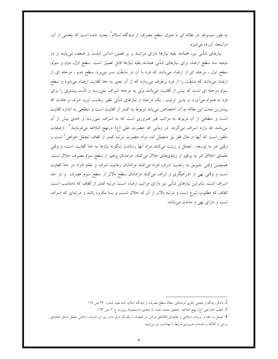به طور مبسوط، در مقاله ای با عنوان سطح مصرف از دیدگاه اسلام ٔ، بحث شده است که بخشی از آن، دراينجا، آورده مي شود.

نیازهای شأنی نیز، همانند بقیه نیازها دارای مراتبند و بر همین اساس شدت و ضعف می یابند و در نتیجه سه سطح ارضاء برای نیازهای شأنی همانند بقیّه نیازها قابل تصوّر است. سطح اول، دوّم و سوّم. سطح اول ، مرحله ای از ارضاء میباشد که فرد با آن در مشقّت بسر میبرد. سطح دوم ، مرحله ای از ارضاء میباشد که مشقّت را از فرد برطرف میسازد که از آن تعبیر به حدّ کفایت ارضاء میشود و سطح سوم مرحله ای است که بیش از کفایت میباشد ولی به مرحله اسراف نمی رسد و لذّت بیشتری را برای فرد به همراه می آورد. و بدین ترتیب ، یک مرحله از نیازهای شأنی نظیر رعایت آبرو، شرف و عادت که بیشترین بحث این مقاله به آن اختصاص می یابد مربوط به کمتر از کفایت است و سطحی به اندازه کفایت است و سطحی از آن مربوط به مراتب غیر ضروری است که به اسراف نمی رسد و حدی بیش از آن میباشد که وارد اسراف میگردد. در زمانی که حضرت علی (ع) درنهج البلاغه میفرمایند<sup>۳</sup> : ازصفات متَّقين است كه آنها درحال فقر نيز متجمّل اند، مراد حضرت مرتبه كمتر از كفاف تجمّل خواهي<sup>،</sup> است و وقتی امر به توسعه ، تجمّل و زینت میکنند مراد آنها رساندن اینگونه نیازها به حدّ کفایت است، و وقتی علمای اخلاق امر به پرهیز از زیادیهای حلال میکنند، مرادشان پرهیز از سطح سوّم مصرف حلال است. همچنین وقتی تشویق به رعایت شرف افراد میکنند مرادشان رعایت شرف و مقام افراد در حله کفایت است و وقتی نهی از اشرافیگری و اتراف میکنند مرادشان سطح بالاتر از سطح سوم مصرف و در حد اسراف است. بنابراین نیازهای شأنی نیز دارای مراتب ارضاء است، مرتبه کمتر از کفاف که نامناسب است، کفاف که مطلوب شرع است و مرتبه بالاتر از آن که حلال است، و بسا مکروه باشد و مرتبهای که اسراف است و دارای نهی و مذمّت می باشد.

<sup>2.</sup> دادگر، يداللّه و مجتبي باقري تودشكي، مقاله سطح مصرف از ديذگاه اسلام، نامه مفيد شماره ٢۴ ص ١١٥

<sup>3.</sup> خطب امام على (ع)، نهج البلاغه ، تحقيق محمد عبده ،٤ جلدي، دارلمعرفهْ، بيروت ج ٢، ص ١٦٣.

<sup>4.</sup> تجمّل در فقه و روایات اسلامی و تقاضای کالاهای لوکس در اقتصاد با یکدیگر فرق دارد زیرا در ادبیات اسلامی تجمّل شامل تقاضای برخی از کالاها و خدمات ضروری مرتبط با بهداشت نیز می شود.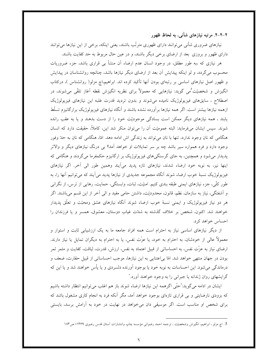۲–۲–۲. مرتبه نیازهای شأنی، به لحاظ ظهور

نیازهای ضروری شأنی می توانند دارای ظهوری مترتّب باشند، یعنی اینکه، برخی از این نیازها می توانند دارای ظهور و بروزی ً بعد از ارضای برخی دیگر باشند، و در عین حال مربوط به حد کفایت باشند.

هر نیازی که ،به طور مطلق، در وجود انسان عدم ارضاء آن منشأ بی قراری باشد، جزء ضروریات محسوب می گردد، و لو اینکه پیدایش آن بعد از ارضای دیگر نیازها باشد، چنانچه روانشناسان در پیدایش و ظهور اصل نیازهای اساسی بر رتبهای بودن آنها تأکید کرده اند. ابراهیم،اچ مزلو( روانشناس )، درکتاب انگیزش و شخصیّت ْمی گوید: نیازهایی که معمولاً برای نظریه انگیزش نقطه آغاز تلقّی می شوند، در اصطلاح ، سایقهای فیزیولوژیک نامیده می شوند و بدون تردید قدرت غلبه این نیازهای فیزیولوژیک ازهمه نیازها بیشتر است. اگر همه نیازها برآورده نشده باشند و آنگاه نیازهای فیزیولوژیک برارگانیزم تسلّط یابند ، همه نیازهای دیگر ممکن است بسادگی موجودیّت خود را از دست بدهند و یا به عقب رانده شوند. سپس ایشان می فرماید: البته عمومیّت آن را می توان منکر شد این، کاملاً، حقیقت دارد که انسان هنگامی که نان وجود ندارد، تنها با نان می تواند به زندگی اش ادامه دهد. امّا، هنگامی که نان به حدّ وفور وجود دارد و فرد همواره سیر باشد چه بر سر تمایلات او خواهد آمد؟ بی درنگ نیازهای دیگر و والاتر پدیدار می شود و همچنین، به جای گرسنگی های فیزیولوژیک بر ارگانیزم حکمفرما می گردند و هنگامی که اینها نیز، به نوبه خود ارضاء شدند، نیازهای تازه پدید میآیند وهمین طور الی آخر. اگر نیازهای فیزیولوژیک نسبهٔ خوب ارضاء شوند اَنگاه مجموعه جدیدی از نیازها پدید می|یند که می توانیم اَنها را، به طور کلّی، جزء نیازهای ایمنی طبقه بندی کنیم. امنیّت، ثبات، وابستگی، حمایت، رهایی از ترس، از نگرانی و اَشفتگی، نیاز به سازمان، نظم، قانون، محدودیّت، داشتن حامی مفید و الی اَخر از این قسم میباشند. اگر هر دو نیاز فیزیولوژیک و ایمنی نسبهٔ خوب ارضاء شوند آنگاه نیازهای عشق ومحبّت و تعلّق پدیدار خواهند شد. اکنون، شخص بر خلاف گذشته به شدّت غیاب دوستان، معشوق، همسر و یا فرزندان را احساس خواهد کرد.

از دیگر نیازهای اساسی نیاز به احترام است همه افراد جامعه ما به یک ارزشیابی ثابت و استوار و معمولاً عالی از خودشان، به احترام به خود، یا عزّت نفس، یا به احترام به دیگران تمایل یا نیاز دارند. ارضای نیاز به عزّت نفس، به احساساتی از قبیل اعتماد به نفس، ارزش، قدرت، لیاقت، کفایت و مثمر ثمر بودن در جهان منتهى خواهد شد. امّا بى اعتنايى به اين نيازها، موجب احساساتى از قبيل حقارت، ضعف و درماندگی می شود. این احساسات به نوبه خود یا بوجود آورنده دلسردی و یا پأس خواهند شد و یا این که گرایشهای روان ژندانه یا جبرانی را به وجود خواهند آورد."

ایشان در ادامه میگوید: ٌحتّی اگرهمه این نیازها ارضاء شوند باز هم اغلب می توانیم انتظار داشته باشیم که بزودی نارضایتی و بی قراری تازهای بوجود خواهد آمد، مگر آنکه فرد به انجام کاری مشغول باشد که برای شخص او مناسب است. اگر موسیقی دان می خواهد در نهایت در خود به آرامش برسد، بایستی

<sup>5 .</sup> اچ مزلو ، ابراهیم، انگیزش وشخصیّت ، ترجمه احمد رضوانی مؤسسه چاپ وانتشارات آستان قدس رضوی ۱۳۶۹، ص۱۸۳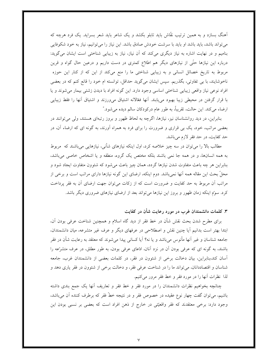آهنگ بسازد و به همین ترتیب نقّاش باید تابلو بکشد و یک شاعر باید شعر بسراید. یک فرد هرچه که می تواند باشد، باید باشد او باید با سرشت خودش صادق باشد. این نیاز را می توانیم، نیاز به خود شکوفایی بنامیم و در نهایت اشاره به نیاز دیگری میکند که آن نیاز، نیاز به زیبایی شناختی است ایشان میگوید: درباره این نیازها حتّی از نیازهای دیگر هم اطلاع کمتری در دست داریم و درعین حال گواه و قرین مربوط به تاریخ خصائل انسانی و به زیبایی شناختی ما را منع میکند از این که از کنار این حوزه ناخوشایند، با بی تفاوتی، بگذریم. سپس ایشان میگوید حداقل، توانسته ام خود را قانع کنم که در بعضی افراد نوعی نیاز واقعی زیبایی شناختی اساسی وجود دارد. این گونه افراد با دیدن زشتی بیمار می شوند و یا با قرار گرفتن در محیطی زیبا بهبود می،یابند. آنها فعّالانه اشتیاق می,ورزند و اشتیاق آنها را فقط زیبایی ارضاء ميكند. اين حالت، تقريباً، به طور عام دركودكان سالم ديده مي شود."

بنابراین، در دید روانشناسان نیز، نیازها، اگرچه به لحاظ ظهور و بروز رتبهای هستند، ولی می توانند در بعضی مراتب، خود، یک بی قراری و ضرورت را برای فرد به همراه آورند، به گونه ای که ارضاء آن، در حد كفايت، در حد فقر لازم ميباشد.

مطالب بالا را میتوان در سه چیز خلاصه کرد، اول اینکه نیازهای شأنی، نیازهایی میباشند که ً مربوط به همه انسانها، و در همه جا نمی باشند بلکه مختص یک گروه، منطقه و یا اشخاص خاصی می باشد، بنابراین هر چه باعث متفاوت شدن نیازها گردد، همان چیز باعث می شود که شئوون متفاوت ایجاد شود و محلِّ بحث این مقاله همه أنها نمیِباشد. دوم اینکه، ارضای این گونه نیازها دارای مراتب است و برخی از مراتب اّن مربوط به حد کفایت و ضرورت است که از زکات میتوان جهت ارضای اّن به فقر پرداخت کرد. سوم اینکه زمان ظهور و بروز این نیازها می تواند بعد از ارضای نیازهای ضروری دیگر باشد.

۳. کلمات دانشمندان غرب در مورد رعایت شأن در کفایت

برای مطرح شدن بحث نقش شأن در خط فقر از دید گاه اسلام و همچنین شناخت عرفی بودن آن، ابتدا بهتر است بدانیم آیا چنین نقش و اصطلاحی در عرفهای دیگر و عرف غیر متشرعه، میان دانشمندان، جامعه شناسان و غیر آنها مأنوس میباشد و یا نه؟ اَیا کسانی پیدا می شوند که معتقد به رعایت شأن در فقر باشند، به گونه ای که عرفی بودن آن در نزد آنان، ادّعای عرفی بودن، به طور مطلق، در عرف متشرّعه را آسان کند،بنابراین، بیان دخالت برخی از شئوون در فقر، در کلمات بعضی از دانشمندان غرب، جامعه شناسان و اقتصاددانان، میتواند ما را در شناخت عرفی فقر، و دخالت برخی از شئوون در فقر یاری دهد و لذا نظرات أنها را در مورد فقر و خط فقر مرور مى كنيم.

چنانچه بخواهیم نظرات دانشمندان را در مورد فقر و خط فقر و تعاریف آنها یک جمع بندی داشته باشیم، میتوان گفت چهار نوع عقیده در خصوص فقر و در نتیجه خطّ فقر که برطرف کننده آن می باشد، وجود دارد: برخی معتقدند که فقر واقعیّتی در خارج از ذهن افراد است که بعضی بر نسبی بودن این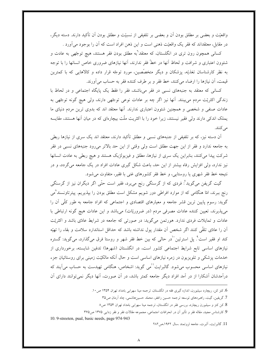واقعیّت و بعضی بر مطلق بودن اَن و بعضی بر تلفیفی از نسبیّت و مطلق بودن اَن تأکید دارند. دسته دیگر، در مقابل، معتقداند که فقر یک واقعیّت ذهنی است و این ذهن افراد است که آن را بوجود میآورد .

کسان<sub>ی</sub> همچون رون تری در انگلستان، که معتقد<sup>ا</sup>به مطلق بودن فقر هستند، هیچ توجّهی به عادت و شئوون اعتباری و شرافت و لحاظ آنها در خطّ فقر ندارند، آنها نیازهای ضروری خاص انسانها را با توجه به نظر کارشناسان تغذیّه، پزشکان و دیگر متخصّصین، مورد توجّه قرار داده و کالاهایی که با کمترین قيمت، أن نيازها را ارضاء مي كنند، خط فقر و بر طرف كننده فقر به حساب مي أورند.

کسانی که معتقد به جنبههای نسبی در فقر میباشند، فقر را فقط یک پایگاه اجتماعی و در لحاظ با زندگی اکثریّت مردم می بینند. آنها نیز اگر چه بر عادات نوعی توجّهی دارند، ولی هیچ گونه توجّهی به عادات صنفی و شخصی و همچنین شئوون اعتباری ندارند. آنها معتقد اند که بدوی ترین مردم دنیای ما یملک اندکی دارند ولی فقیر نیستند، زیرا خود را با اکثریت ملّت بیچارهای که در میان آنها هستند، مقایسه می کنند.

آن دسته نیز، که بر تلفیفی از جنبههای نسبی و مطلق تأکید دارند، معتقد اند یک سری از نیازها ربطی به جامعه ندارد و فقر از این جهت مطلق است ولی وقتی از این حد بالاتر می رود جنبههای نسبی در فقر شرکت پیدا میکنند، بنابراین یک سری از نیازها، مطلق و فیزیولژیک هستند و هیچ ربطی به عادت انسانها نیز ندارد، ولی افزایش رفاه بیشتر از این حد، باعث شکل گیری عادات افراد در یک جامعه میگردد، و در نتیجه خط فقر شهری یا روستایی، و خط فقر کشورهای غنی با فقیر، متفاوت می شود.

گیت گریفن میگوید ؒ فردی که از گرسنگی رنج میبرد، فقیر است حتّی اگر دیگران نیز از گرسنگی رنج ببرند، امّا هنگامی که از موارد افراطی دور شویم مشکل است مطلق بودن را بپذیریم. پیترتاونسند ُمی گوید: رسوم پایین ترین قشر جامعه و معیارهای اقتصادی و اجتماعی که افراد جامعه به طور کلّی آن را می پذیرند، تعیین کننده عادات مصرفی مردم (در ضروریّات) میباشد و این عادات هیچ گونه ارتباطی با عادات و تمایلات فردی ندارد. هورتمن میگوید: در صورتی که جامعه در شرایط عادّی باشد و اکثریّت اّن را عادّی تلقّی کنند اگر شخص اّن مقدار پول نداشته باشد که حداقل استاندارد سلامت و بقاء را تهیّه کند او فقیر است°. پل استرتین ٰ`در حالی که بین خط فقر شهر و روستا فرق میگذارد، میگوید: گستره نیازهای اساسی تابع شرایط اجتماعی کشور است، در انگلستان (شهرها) تدفین شایسته، برخورداری از خدمات پزشکی و تلویزیون در زمره نیازهای اساسی است و حال آنکه مالکیّت زمینی برای روستائیان جزء نیازهای اساسی محسوب می شود. گالبرایت<sup>۱۱</sup>می گوید: اشخاص، هنگامی تهیدست به حساب می آیند که درآمدشان آشکارا از در آمد افراد دیگر جامعه کمتر باشد، در آن صورت، آنها دیگر نمی توانند دارای آن

10. 9-streeten, pual, basic needs, page 974-943

<sup>6.</sup> کنز کن، ریچارد سیلبورن، اندازه گیری فقه در انگلستان، ترجمه مینا سهرابی بامداد تهران ۱۳۵۴ ص۱۰.

<sup>7.</sup> گریفین، گیت، راهبردهای توسعه ترجمه حسین راغفر، محمّد حسینهاشمی، چاد اَرمان ص۳۵

<sup>8.</sup> کن کنز و سیلبورن ریچارد، بررسی فقر در انگلستان، ترجمه مینا سهرابی بامداد تهران ۱۳۵۴ ص۸

<sup>9.</sup> كارشناس مجيد، مقاله فقر و تأثير آن در انحرافات اجتماعي، مجموعه مقالات فقر و فقر زدايبي ١٣٧٥ ص٣۶۵

<sup>11.</sup> گالبرایت، آلبرت، جامعه ثروتمند ،سال ۱۹۶۲،ص۲۸۲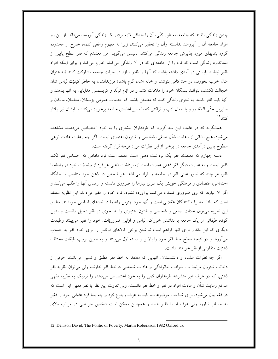چنین زندگی باشند که جامعه، به طور کلّی، آن را حداقل لازم برای یک زندگی آبرومند میداند. از این رو افراد جامعه آن را آبرومند ندانسته وآن را تحقیر میکنند، زیرا به مفهوم واقعی کلمه، خارج از محدوده گروه بندیهای مورد پذیرش جامعه زندگی میکنند. دنیسن میگوید: من معتقدم که فقر سطح پایین از استاندارد زندگی است که فرد را از جامعهای که در آن زندگی میکند، خارج میکند و برای اینکه افراد فقیر نباشند بایستی در اَمدی داشته باشند که اَنها را قادر سازد در حیات جامعه مشارکت کنند (به عنوان مثال خوب بخورند، در حدّ كافي بنوشند و خانه اشان گرم باشد) فرزندانشان به خاطر كيفيّت لباس شان خجالت نکشند، بتوانند بستگان خود را ملاقات کنند و در ایّام تولُّد و کریسمس هدایایی به اَنها بدهند و آنها باید قادر باشند به نحوی زندگی کنند که مطمئن باشند که خدمات عمومی پزشکان، معلمان، مالکان و سایرین حتّی المقدور و با همان ادب و نزاکتی که با سایر اعضای جامعه برخورد میکنند با ایشان نیز رفتار كنند ''.

همانگونه که در عقیده این سه گروه، که طرفداران بیشتری را به خود اختصاص میدهند، مشاهده میشود، هیچ نشانی از رعایت شأن صنفی، شخصی و شئوون اعتباری نیست، اگر چه رعایت عادت نوعی سطوح پایین درآمدی جامعه در برخی از این نظرات مورد توجه قرار گرفته است.

دسته چهارم که معتقدند فقر یک برداشت ذهنی است معتقد است فرد مادامی که احساس فقر نکند فقیر نیست و به عبارت دیگر فقر ذهنی عبارت است از، برداشت ذهنی هر فرد از وضعیّت خود در رابطه با فقر، هر چند که تبلور عینی فقر در جامعه و افراد میباشد. هر شخص در ذهن خود متناسب با جایگاه اجتماعی، اقتصادی و فرهنگی خویش یک سری نیازها را ضروری دانسته و ارضای أنها را طلب میکند و اگر آن نیازها که وی ضروری قلمداد میکند، برآورده نشود، فرد خود را فقیر میداند. این نظریه معتقد است که رفتار مصرف کنندگان عقلایی است و آنها خود بهترین راهنما در نیازهای اساسی خویشند، مطابق این نظریه میتوان عادات صنفی و شخصی و شئون اعتباری را به نحوی در فقر دخیل دانست و بدین گونه، طبقاتی از یک جامعه با نداشتن خوراک، لباس و اولین ضروریّات، خود را فقیر می بینند وطبقات دیگری که این مقدار برای أنها فراهم است نداشتن برخی کالاهای لوکس را برای خود فقر به حساب میآورند و در نتیجه سطح خط فقر خود را بالاتر از دسته اول می بینند و به همین ترتیب طبقات مختلف ذهنيّت متفاوتي از فقر خواهند داشت.

اگر چه نظرات علماء و دانشمندان، أنهایی که معتقد به خط فقر مطلق و نسبی میباشند حرفی از دخالت شئوون مرتبط با ، شرافت خانوادگی و عادات شخصی درخط فقر ندارند، ولی می توان نظریه فقر ذهنی، که در عرف غیر متشرعه طرفداران کمی را به خود اختصاص میدهد، را نزدیک به نظریه فقهی مدافع رعایت شأن و عادت افراد در فقر و خط فقر دانست. ولی تفاوت این نظر با نظر فقهی این است که در فقه بیان میشود، برای شناخت موضوعات، باید به عرف رجوع کرد و چه بسا فرد عفیفی خود را فقیر به حساب نیاورد ولی عرف او را فقیر بداند و همچنین ممکن است شخص حریصی در مراتب بالای

<sup>12.</sup> Denison David, The Politic of Poverty, Martin Roberkson, 1982 Oxford uk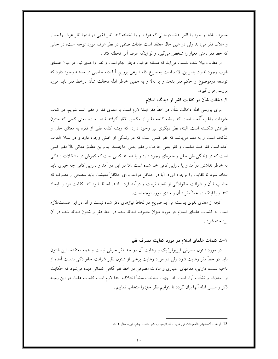مصرف باشد و خود را فقیر بداند درحالی که عرف او را تخطئه کند، نظر فقهی در اینجا نظر عرف را معیار و ملاک فقر میداند ولی در عین حال معتقد است عادات صنفی در نظر عرف مورد توجه است، در حالی كه خط فقر ذهني معيار را شخص مي گيرد و لو اينكه عرف آنرا تخطئه كند .

از مطالب بیان شده بدست می آید که مسئله عرفیت دچار ابهام است و نظر واحدی نیز، در میان علمای غرب وجود ندارد. بنابراین، لازم است به سراغ ادّله شرعی برویم، آیا ادله خاصی در مسئله وجود دارد که توسعه درموضوع و حکم فقر بدهد و یا نه؟ و به همین خاطر ادلّه دخالت شأن درخط فقر باید مورد بررسی قرار گیرد.

۴. دخالت شأن در كفايت فقبر از ديدگاه اسلام

برای بررسی ادلّه دخالت شأن در خطّ فقر ابتدا لازم است با معنای فقر و فقیر آشنا شویم. در کتاب مفردات راغب<sup>۱۳</sup>آمده است که ریشه کلمه فقیر از مکسورالفقار گرفته شده است، یعنی کسی که ستون فقراتش شکسته است. البته، نظر دیگری نیز وجود دارد، که ریشه کلمه فقیر از فقره به معنای خلل و شکاف است و به معنا میباشد که فقر کسی است که در زندگی او خللی وجود دارد و در لسان العرب أمده است فقر ضد غناست و فقر يعني حاجت و فقير يعني حاجتمند. بنابراين مطابق معاني بالا فقير كسي است که در زندگی اش خلل و حفرهای وجود دارد و یا همانند کسی است که کمرش در مشکلات زندگی به خاطر نداشتن درآمد و یا دارایی کافی خم شده است .امّا در این در آمد و دارایی کافی چه چیزی باید لحاظ شود تا كفايت را بوجود آورد. آيا در حداقل درآمد براي حداقلٌ معيشت بايد سطحي از مصرف كه مناسب شأن و شرافت خانوادگی از ناحیه ثروت و درآمد فرد باشد، لحاظ شود که کفایت فرد را ایجاد کند و یا اینکه در خطّ فقر شأن واحدی مورد توجّه است.

أنچه از معنای لغوی بدست می[ید صریح در لحاظ نیازهای ذکر شده نیست و لذا،در این قسمت،لازم است به کلمات علمای اسلام در مورد میزان مصرف لحاظ شده در خط فقر و شئون لحاظ شده در أن يرداخته شود .

## ۱–٤. كلمات علماي اسلام در مورد كفايت مصرف فقير

در مورد شئون مصرفی فیزیولوژیک و رعایت اَن در حد فقر حرفی نیست و همه معتقدند این شئون باید در خطّ فقر رعایت شود ولی در مورد رعایت برخی از شئون نظیر شرافت خانوادگی بدست آمده از ناحیه نسب، دارایی، مقامهای اعتباری و عادات مصرفی در خطّ فقر گاهی کلماتی دیده می شود که حکایت از اختلاف و تشتّت آراء است، لذا جهت شناخت منشأ اختلاف ابتدا لازم است کلمات علماء در این زمینه ذكر و سيس ادله أنها بيان گردد تا بتوانيم نظر حقّ را انتخاب نماييم .

<sup>13.</sup> الراغب الاصفهاني،المفردات في غريب القرآن،چاپ نشر كتاب، چاپ اول، سال ١٤٠٤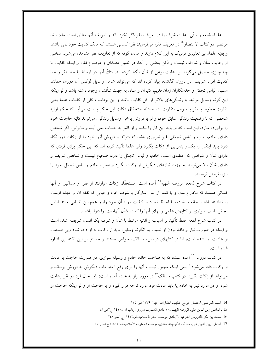علماء شیعه و سنّی رعایت شرف را در تعریف فقر ذکر نکرده اند و تعریف آنها مطلق است. مثلا سیّد مرتضی در کتاب الا نتصار<sup>، ۱</sup> در تعریف فقرا میفرماید: فقرا کسانی هستند که مالک کفایت خود نمی باشند و بقیّه علماء نیز تعابیری نزدیک به این کلام دارند و همان گونه که از تعاریف فقر مشاهده می شود، سخنی از رعایت شأن و شرافت نیست و لکن بعضی از آنها، در تعیین مصداق و موضوع فقر، و اینکه کفایت با چه چیزی حاصل میگردد بر رعایت نوعی از شأن تأکید کرده اند. مثلاً، آنها در ارتباط با خط فقر و حدّ کفایت افراد شریف، در دوران گذشته، بیان کرده اند که می تواند شامل وسایل لوکس آن دوران همانند اسب، لباس تجمّل و خدمتکاران زمان قدیم، کنیزان و عباد، به جهت شأنشان وجود داشته باشد و لو اینکه این گونه وسایل مرتبط با زندگیهای بالاتر از اقل کفایت باشد و این برداشت کلی از کلمات علما یعنی تفاوت خطوط با فقر با سوون متفاوت در مسئله استحقاق زكات اين حكم بدست مي آيد كه حكم اوليه شخصی که با وضعیت زندگی سابق خود، و لو با فروش برخی وسایل زندگی، می تواند کلیّه حاجات خود را برآورده سازد، این است که او باید این کار را بکند و او فقیر به حساب نمی آید، و بنابراین، اگر شخص دارای خادم، اسب و لباس تجمّلی غیر ضروری باشد که بتواند با فروش آنها خود را از زکات دور نگاه دارد باید اینکار را بکندو بنابراین از زکات بگیرد ولی علما تأکید کرده اند که این حکم برای فردی که دارای شأن و شرافتی که اقتضای اسب، خادم، و لباس تجمّل را دارد، صحیح نیست و شخص شریف و دارای شأن بالا می تواند به جهت نیازهای دیگرش از زکات بگیرد و اسب، خادم و لباس تجمّل خود را نيز، بفروش نرساند.

در کتاب شرح لمعه، الروضه البهیه°<sup>۱</sup> آمده است: مستحقّان زکات عبارتند از فقرا و مساکین و آنها کسانی هستند که مخارج سال و یا کمتر از سال سازگار با شرف خود و عیالی که نفقه آن بر عهده اوست را نداشته باشند. خانه و خادم، با لحاظ تعداد و کیفیّت در شأن خود را، و همچنین اشیایی مانند لباس تجمّل، اسب سواری، و کتابهای علمی و بهای آنها را که در شأن آنهاست، را دارا نباشند.

در کتاب شرح لمعه، فقط تأکید بر اسباب و اثاثیه مرتبط با شأن و شرف یک انسان شریف ً شده است و اینکه در صورت نیاز و فاقد بودن او نسبت به اَنگونه وسایل، باید از زکات به او داده شود ولی صحبت از عادات او نشده است، اما در کتابهای دروس، مسالک، جواهر، مستند و حدائق بر این نکته نیز، اشاره شده است.

در کتاب دروس<sup>۱۶</sup> آمده است، که به صاحب خانه، خادم و وسیله سواری، در صورت حاجت یا عادت از زکات داده می شود." یعنی اینکه مجبور نیست آنها را برای رفع احتیاجات دیگرش به فروش برساند و میتواند از زکات بگیرد. در کتاب مسالک<sup>۱۷</sup> در مورد نیاز به خادم آمده است: باید حال فرد در فقر رعایت شود. و در مورد نیاز به خادم یا باید عادت فرد مورد توجه قرار گیرد و یا حاجت او و لو اینکه حاجت او

<sup>14.</sup> السيد المرتضى،الانتصار،جوامع الفقهيه، انتشارات جهان ١٣٧۶ ص ١٢٥

<sup>15 .</sup> العاملي زين الدين على، الروضه البهينه،، ١ جلدي،انتشارت داوري ،چاپ اول، ١٤١٠مج ٢ص٤٢

<sup>16.</sup> محمّد بن مكّى،الدروس الشرعيه ،٣جلدي،موسسه النشر الاسلاميه،قم،١٤١٢ ءج١،ص ٢٤٠

<sup>17.</sup> العاملي زين الدين علي، مسالك الافهام،١٥جلدي، موسسه المعارف الاسلاميه،قم،١٤١٣، ج اص ٤١٠.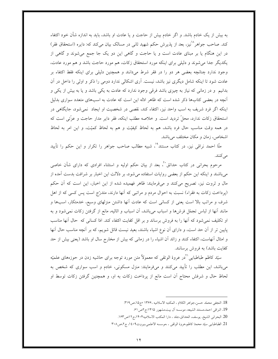به بیش از یک خادم باشد. و اگر خادم بیش از حاجت و یا عادت او باشد، باید به اندازه شأن خود اکتفاء کند. صاحب جواهر<sup>^۱</sup>نیز، بعد از پذیرش حکم شهید ثان<sub>ی</sub> در مسالک بیان میکند که: دایره (استحقاق فقر) در این هنگام یا بر مبنای عادت است و یا حاجت و گاهی این دو یک جا جمع می شوند و گاهی از یکدیگر جدا می شوند و دلیلی برای اینکه مورد استحقاق زکات، هم مورد حاجت باشد و هم مورد عادت، وجود ندارد چنانچه بعضی هر دو را در فقر شرط میدانند و همچنین دلیلی برای اینکه فقط اکتفاء بر عادت شود تا اینکه شامل دیگری نیز باشد، نیست. آری اشکالی ندارد دومی را ذکر و اولی را داخل در آن بدانیم و در زمانی که نیاز به چیزی باشد فرقی وجود ندارد که عادت به یکی باشد و یا به بیش از یکی و آنچه در بعضی کتابها ذکر شده است که ظاهر ادله این است که عادت به اسبهای متعدد سواری بدلیل اینکه اگر فرد شریف به اسب واحد نیز، اکتفاء کند، نقصی در شخصیت او ایجاد نمی شود، جایگاهی در استحقاق زكات ندارد، محلٌ ترديد است. و خلاصه مطلب اينكه، فقر داير مدار حاجت و عزَّتي است كه در همه وقت مناسب حال فرد باشد، هم به لحاظ کیفیّت و هم به لحاظ کمیّت، و این امر به لحاظ اشخاص، زمان و مکان مختلف می باشد.

ملًّا احمد نراقی نیز، در کتاب مستند°'، شبیه مطالب صاحب جواهر را تکرار و این حکم را تأیید می کنند.

مرحوم بحرانی در کتاب حدائق ْ ْ، بعد از بیان حکم اولیه و استثناء افرادی که دارای شأن خاصی میباشند و اینکه این حکم از بعضی روایات استفاده میشود، بر دلالت این اخبار بر شرافت بدست آمده از مال و ثروت نیز، تصریح میکنند و میفرمایند: ظاهر فهمیده شده از این اخبار، این است که آن حکم (پرداخت زکات به فقراء) نسبت به احوال مردم و مراتبی که آنها دارند، متدرّج است پس کسی که از اهل شرف و مراتب بالا است یعنی از کسانی است که عادت آنها داشتن منزلهای وسیع، خدمتکار، اسبها و مانند آنها از لباس تجمّل فرشها و اسباب میباشد، آن اسباب و اثاثیه، مانع از گرفتن زکات نمی شود و به او تكليف نمي شود كه آنها را به فروش برساند و بر اقل كفايت اكتفاء كند. امّا كساني كه حال آنها مناسب پایین تر از آن حد است، و دارای آن نوع اشیاء باشند، بعید نیست قائل شویم، که بر آنچه مناسب حال آنها و امثال آنهاست، اکتفاء کنند و زائد آن اشیاء را در زمانی که بیش از مخارج سال او باشد (یعنی بیش از حد كفايت باشد) به فروش برسانند.

سيّد كاظم طباطبايي <sup>ا</sup>در عروهٔ الوتقى كه معمولاً متن مورد توجه براي حاشيه زدن در حوزههاى علميّه میباشد، این مطلب را تأیید میکنند و میفرمایند: منزل مسکونی، خادم و اسب سواری که شخص به لحاظ حال و شرفش محتاج آن است مانع از پرداخت زکات به او، و همچنین گرفتن زکات توسط او

<sup>18.</sup> النجفي محمّد حسن،جواهر الكلام ، المكتبه الاسلاميه ،١٣۶۶ مج١٥،ص٣١٩.

<sup>19.</sup> النراقي احمد،مستند الشيعه، موسسه آل بيت،مشهور ١۴١٥:ج ٢ص ۶١.

<sup>20.</sup> البحراني الشيخ، يوسف، الحدائق،جلد ، دارا المكتب الاسلاميه١٤٠٢،ج١٢ص١۶٣.

<sup>21.</sup> الطباطبايي سيّد محمدٌ كاظم،عروة الوثقي ، ،موسسه الاعلمي،بيروت٩٠٩، ج٢،ص٣٠٨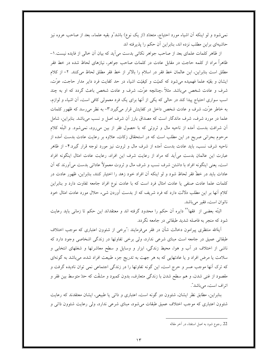نمیشود و لو اینکه أن اشیاء مورد احتیاج، متعدّد (از یک نوع) باشد ٌو بقیه علماء، بعد از صاحب عروه نیز حاشیهای براین مطلب نزده اند، بنابراین آن حکم را پذیرفته اند

از ظاهر كلمات علماي بعد از صاحب جواهر نكاتي بدست مي آيد كه بيان أن خالي از فايده نيست. ١-ظاهراً مراد از کلمه حاجت در مقابل عادت در کلمات صاحب جواهر، نیازهای لحاظ شده در خط فقر مطلق است بنابراین، این عالمان خط فقر در اسلام را بالاتر از خط فقر مطلق لحاظ میکنند. ۲– از کلام ایشان و بقیّه علما فهمیده میشود که کمیّت و کیفیّت اشیاء در حد کفایت فرد دایر مدار حاجت، عزّت، شرف و عادت شخص میباشد. مثلاً ،چنانچه عزّت، شرف و عادت شخص باعث گردد که او به چند اسب سواری احتیاج پیدا کند در حالی که یکی از آنها برای یک فرد معمولی کافی است، آن اشیاء و لوازم، به خاطر عزّت، شرف و عادت شخص داخل در کفایتش قرار میگیرد.۳- به نظر می رسد که ظهور کلمات علما در مورد شرف، شرف ماندگار است که مصداق بارز آن شرف اصل و نسب میباشد. بنابراین، شامل آن شرافت بدست آمده از ناحیه مال و ثروتی که با حصول فقر از بین میرود، نمیشود. و البتّه کلام مرحوم بحرانی صریح در این مطلب است که در استحقاق زکات، علاوه بر رعایت عادت بدست آمده از ناحیه شرف نسب، باید عادت بدست آمده از شرف مال و ثروت نیز مورد توجه قرار گیرد.۴– از ظاهر عبارت این عالمان بدست می آید که مراد از رعایت شرف این افراد، رعایت عادت امثال اینگونه افراد است، یعنی اینگونه افراد با داشتن شرف نسب و شرف مال و ثروت معمولاً عاداتی بدست میآورند که آن عادات باید در خطّ فقر لحاظ شود و لو اینکه اَن افراد خود زهد را اختیار کنند، بنابراین، ظهور عادت در کلمات علما عادت صنفی یا عادت امثال فرد است که با عادت نوع افراد جامعه تفاوت دارد و بنابراین کلام آنها بر این مطلب دلالت دارد که فرد شریف که از بدست آوردن شیء حلال مورد عادت امثال خود ناتوان است، فقير مي باشد.

البتَّه بعضي از ۖ فقها `` دايره أن حكم را محدود گرفته اند و معتقداند اين حكم تا زماني بايد رعايت شود که منجر به فاصله شدید طبقاتی در جامعه نگردد.

اَيةالله منتظرى پيرامون دخالت شأن در فقر مىفرمايند :<sup>ت</sup>برخى از شئوون اعتبارى كه موجب اختلاف طبقاتی عمیق در جامعه است مبنای شرعی ندارد، ولی برخی تفاوتها در زندگی اشخاصی وجود دارد که ناشی از اختلاف در آب و هوا، محیط زندگی، ابزار و وسایل و سطح معاشرتها و شغلهای انتخابی و سلامت یا مرض افراد و یا عادتهایی که به هر جهت به تدریج جزء طبیعت افراد شده، می باشد به گونهای که ترک آنها موجب عسر و حرج است، این گونه تفاوتها را در زندگی اجتماعی نمی توان نادیده گرفت و مقصود از غنی شدن، و هم سطح شدن با زندگی متعارف، بدون کمبود و مشقّت که حدّ متوسط بین فقر و اتراف است، ميباشد".

بنابراین، مطابق نظر ایشان، شئوون دو گونه است، اعتباری و ذاتی یا طبیعی، ایشان معتقدند که رعایت شئوون اعتباری که موجب اختلاف عمیق طبقات می شود، مبنای شرعی ندارد، ولی رعایت شئوون ذاتی و

22. رجوع شود به اصل استفتاء در آخر مقاله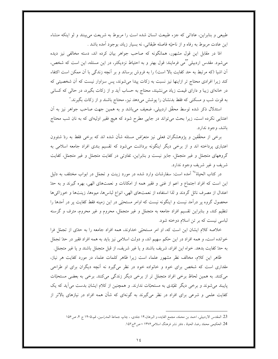طبیعی و بنابراین، عاداتی که جزء طبیعت انسان شده است را مربوط به شریعت میبینند و لو اینکه منشاء این عادت مربوط به رفاه و از ناحیّه فاصله طبقاتی، نه بسیار زیاد، بوجود آمده باشد .

امًا در مقابل این قول مشهور، همانگونه که صاحب جواهر بیان کرده اند، دسته مخالفی نیز دیده می شود. مقدس اردبیلی "می فرمایند: قول بهتر و به احتیاط نزدیکتر، در این مسئله، این است که شخص، أن اشیا (که مرتبط به حد کفایت بالا است) را به فروش برساند و بر أنچه زندگی با أن ممکن است اکتفاء کند زیرا افرادی محتاج تر ازاینها نیز نسبت به زکات پیدا میشوند، پس سزاوار نیست که آن شخصیتی که در خانهای زیبا و دارای قیمت زیاد می نشیند، محتاج به حساب آید و از زکات بگیرد، در حالی که کسانی به قوت شب و مسكنى كه فقط بدنشان را پوشش مىدهد نيز، محتاج باشند و از زكات بگيرند."

استدلال ذکر شده توسط محقَّق اردبیلی، ضعیف میباشد و به همین جهت صاحب جواهر نیز به آن اعتنایی نکرده است، زیرا بحث میتواند در جایی مطرح شود که هیچ فقیر اولیهای که به نان شب محتاج باشد، وجود ندارد.

برخی از محقَّقین و پژوهشگران فعلی نیز متعرِّض مسئله شأن شده اند که برخی فقط به ردّ شئوون اعتباری پرداخته اند و از برخی دیگر اینگونه برداشت میشود که تقسیم بندی افراد جامعه اسلامی به گروههای متجمّل و غیر متجمّل، جایز نیست و بنابراین، تفاوتی در کفایت متجمّل و غیر متجمّل، کفایت شريف و غير شريف وجود ندارد.

در کتاب الحیاهٔ ٔ آمده است: سفارشات وارد شده در مورد زینت و تجمّل در ابواب مختلف به دلیل این است که افراد اجتماع و اعم از غنی و فقیر همه از امکانات و نعمتهای الهی، بهره گیرند و به حدّ اعتدال از مصرف نائل گردند و لذا استفاده از نعمتهای الهی، انواع لباسها، میوهها، زینتها و خوراکیها محصول گروه پر درآمد نیست و اینگونه نیست که اوامر مستحبّی در این زمینه فقط کفایت پر در آمدها را تنظیم کند، و بنابراین تقسیم افراد جامعه به متجمّل و غیر متجمّل، محروم و غیر محروم، مترف و گرسنه لباسی نیست که بر تن اسلام دوخته شود.

خلاصه كلام ايشان اين است كه، او امر مستحبّى خداوند، همه افراد جامعه را به حدّى از تجمّل فرا خوانده است، و همه افراد در این حکم سهیم اند، و دولت اسلامی نیز باید به همه افراد فقیر در حله تجمّل به حدّ كفايت بدهد. خواه اين افراد، شريف باشند و يا غير شريف، از قبل متجمّل باشند و يا غير متجمّل.

ظاهر این کلام، مخالف نظر مشهور علماء است زیرا ظاهر کلمات علماء در مورد کفایت هر نیاز، مقداری است که شخص برای خود و خانواده خود در نظر میگیرد نه آنچه دیگران برای او طراحی میکنند. به همین لحاظ برخی افراد متجمّل تر از برخی دیگر زندگی میکنند. برخی به بعضی مستحبّات پایبند میشوند و برخی دیگر تقیّدی به مستحبّات ندارند. و همچنین از کلام ایشان بدست میآید که یک کفایت علمی و شرعی برای افراد در نظر میگیرند به گونهای که شأن همه افراد در نیازهای بالاتر از

<sup>23.</sup> المقدس الاردبيلي، احمد بن محمّد، مجمع الفايده و البرهان،١۴ جلدي، ، چاپ جماعهٔ المدرّسين، قم،١۴٠٥ ج ۴، ص١٥۶ 24. الحكيمي محمّد رضا، الحياة ، دفتر نشر فرهنگ اسلامي ١٣٧۶ ، ص عج١٥٢.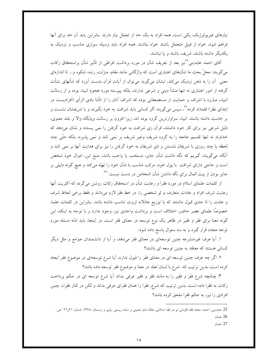نیازهای فیزیولوژیک، یکی است، همه افراد به یک حد از تجمّل نیاز دارند. بنابراین باید أن حد برای أنها فراهم شود، خواه از قبیل متجمّل باشند خواه نباشند. همه افراد باید وسیله سواری مناسب و نزدیک به یکدیگر داشته باشند، شریف باشند و یا نباشند.

آقای احمد عابدینی °`نیز بعد از تعریف شأن در مورد برداشت افراطی از تأثیر شأن براستحقاق زکات میگویند: محلّ بحث ما شأنهای اعتباری است که واژگانی مانند مقام، منزلت، رتبه، شکوه و… تا اندازهای معنی آن را به ذهن نزدیک میکند، ایشان میگوید میتوان از آیات قرآن بدست آورد که شأنهای نشأت گرفته از امور اعتباری نه تنها منشأ دینی و شرعی ندارند، بلکه پیوسته مورد هجوم انبیاء بوده و از رسالت انبیاء، مبارزه با اشراف و حمایت از مستضعفانی بوده که اشراف آنان را از اذَّلنا بادی الرأی (افرادیست در ابتدای نظر) قلمداد کرده<sup>۲</sup>٬ سپس میگویند اگر کسانی باید شرافت به خود بگیرند و با شریفشان نشست و بر خاست داشته باشند، انبیاء سزاوارترین گروه بوده اند، زیرا افزون بر رسالت وپایگاه والا و بلند معنوی، دلیل شرعی نیز برای کار خود داشتند، قرآن زی شرافت به خود گرفتن را نمی پسندد و نشان میدهد که خداوند نه تنها تقسیم جامعه را به گروه شریف وغیر شریف بر نمی تابد و نمی پذیرد، بلکه حتّٰی چند لحظه یا چند روزی با شریفان نشستن و ذی شریفان به خود گرفتن را نیز برای هدایت آنها بر نمی تابد و اَنگاه میگویند، گیریم که نگه داشت شأن جایز، مستحب یا واجب باشد، منبع این، اموال خود شخص است و حاجی دارای شرافت با پول خود، مرکب مناسب با شأن خود را تهیّه میکند و هیچ گونه دلیلی بر جایز بودن از بیت المال برای نگه داشتن شأن اشخاص در دست نیست."<sup>۲۷</sup>

از کلمات علمای اسلام در مورد فقرا و رعایت شأن در استحقاق زکات روشن میگردد که اکثریت آنها رعايت شرف افراد و عادات متعارف و لو شخصي را، در خط فقر لازم مي دانند و فقط برخي لحاظ شرف و عادت را تا حدی قبول داشتند که با توزیع عادلانه ثروت تناسب داشته باشد. بنابراین در کلمات علما، خصوصًا علمای عصر حاضر، اختلاف است و برداشت واحدی نیز، وجود ندارد و با توجه به اینکه، این گونه معنا برای فقر و فقیر در ظاهر یک نوع توسعه در معنای فقر است، در اینجا، باید ادله مسئله مورد توجه مجدد قرار گیرد و به سه سئوال پاسخ داده شود:

۱. آیا عرف غیرمتشرعه چنین توسعهای در معنای فقر میدهد، و آیا از دانشمندان جوامع و ملل دیگر کسانی هستند که معتقد به چنین توسعه ای باشند؟

۲. اگر چه عرف چنین توسعه ای در معنای فقر را قبول ندارد، أیا شرع توسعهای در موضوع فقر ایجاد كرده است، بدين ترتيب كه شرع با لسان تعبّد در معنا و موضوع فقر توسعه داده باشد؟

۳. چنانچه شرع فقر و فقیر را به مانند فقر و فقیر عرفی بداند آیا شرع توسعه ای در حکم پرداخت زکات به فقرا داده است، بدین ترتیب که شرع، فقرا را همان فقرای عرفی بداند و لکن در کنار فقراء، چنین افرادی را نیز، به حکم فقرا ملحق کرده باشد؟

27. همان

<sup>25.</sup> عابدینی، احمد، مجله فقه کاوشی نو در فقه اسلامی، مقاله امام خمینی و ساده زیستی ،پاییز و زمستان ،۱۳۷۸، شماره ۲۱و۲۲ ص. 26. همان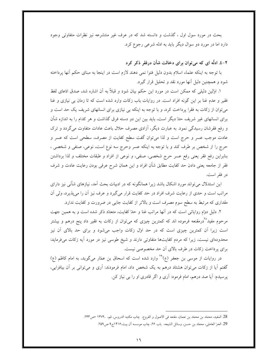بحث در مورد سول اول ، گذشت و دانسته شد که در عرف غیر منتشرعه نیز نظرات متفاوتی وجود دارد اما در مورد دو سوال دیگر باید به ادله شرعی رجوع کرد.

۲–٤. ادلّه ای که می توان برای دخالت شأن درفقر ذکر کرد

با توجه به اینکه علماء اسلام بدون دلیل فتوا نمی دهند لازم است در اینجا به مبنای حکم آنها پرداخته شود و همچنین دلیل آنها مورد نقد و تحلیل قرار گیرد.

۱. اوّلین دلیلی که ممکن است در مورد این حکم بیان شود و قبلاً به آن اشاره شد، صدق ادّعای لفظ فقیر و عدم غنا بر این گونه افراد است. در روایات باب زکات وارد شده است که تا زمان بی نیازی و غنا میتوان از زکات به فقرا پرداخت کرد، و با توجه به اینکه بی نیازی برای انسانهای شریف یک حد است و برای انسانهای غیر شریف حدّ دیگر است، باید بین این دو دسته فرق گذاشت و هر کدام را به اندازه شأن و رفع فقرشان رسیدگی نمود. به عبارت دیگر، آزادی مصرف حلال باعث عادات متفاوت میگردد و ترک عادت موجب عسر و حرج است و لذا مى توان گفت سطح كفايت از مصرف، سطحى است كه عسر و حرج را از شخص بر طرف کند و با توجه به اینکه عسر وحرج سه نوع است، نوعی، صنفی و شخصی ، بنابراین رفع فقر یعنی رفع عسر حرج شخصی، صنفی، و نوعی از افراد و طبقات مختلف و لذا برداشتن فقر از جامعه يعني دادن حد كفايت مطابق شأن افراد و اين همان شرح عرفي بودن رعايت عادت و شرف در فقر است.

این استدلال میتواند مورد اشکال باشد زیرا همانگونه که در ادبیات بحث آمد، نیازهای شأنی نیز دارای مراتب است و حدی از رعایت شرف افراد در حد کفایت قرار میگیرد و عرف نیز آن را میپذیرد، ولی آن مقداری که مرتبط به سطح سوم مصرف است و بالاتر از کفایت جایی در ضرورت و کفایت ندارد.

۲. دلیل دوّم روایاتی است که در آنها مراتب غنا و حدّ کفایت، متعدّد ذکر شده است و به همین جهت مرحوم مفید<sup>7۸</sup>درمقنعه فرموده اند که کمترین چیزی که می¤وان از زکات به فقیر داد پنج درهم و بیشتر است زیرا آن کمترین چیزی است که در حد اول زکات واجب می شود و برای حد بالای آن نیز محدودهای نیست، زیرا که مردم کفایتها متفاوتی دارند و شیخ طوسی نیز در مورد آیه زکات میفرماید: برای پرداخت زکات در طرف بالای آن حد مخصوصی نیست.

در روایات از موسی بن جعفر (ع<sup>۲۹</sup> وارد شده است که اسحاق بن عمّار میگوید، به امام کاظم (ع) گفتم آیا از زکات میتوان هشتاد درهم به یک شخص داد، امام فرمودند: آری و میتوانی بر آن بیافزایی، یرسیدم: آیا صد درهم، امام فرمود: آری و اگر قادری او را بی نیاز کن.

<sup>28.</sup> المفيد، محمّد بن محمّد بن نعمان، مقتعه في الاصول و الفروع، چاب مكتبه الدروس، قم، ،١٣٧۴ مص٢٢٣.

<sup>29.</sup> الحرّ العاملي، محمّد بن حسن، وسائل الشيعه، باب ٢۶، چاب موسسه آل بيت،١۴١۶ج٩ ص٢٥٩.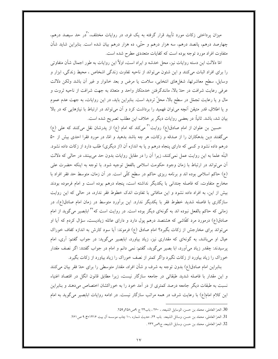میزان پرداختی زکات مورد تأیید قرار گرفته به یک فرد، در روایات مختلف، کرر حد سیصد درهم، چهارصد درهم، پانصد درهم، سه هزار درهم و حتّى، ده هزار درهم بيان شده است. بنابراين شايد شأن متفاوت افراد مورد توجه بوده است که کفایات متعددی مطرح شده است.

امّا دلالت این دسته روایات نیز، محل خدشه و ایراد است، اولاً این روایات به طور اجمال شأن متفاوتی را برای افراد اثبات میکنند و این شئون میٍتواند از ناحیه تفاوت زندگی اشخاص ، محیط زندگی، ابزار و وسایل، سطح معاشرتها، شغلهای انتخابی، سلامت یا مرض و بعد خانوار و غیر آن باشد ولکن دلالت عرفی رعایت شرافت در حلهّ بالا، مانندگرفتن خدمتکار واحد و متعدّد به جهت شرافت از ناحیه ثروت و مال و یا رعایت تجمّل در سطح بالا، محلّ تردید است. بنابراین باید، در این روایات، به جهت عدم عموم و یا اطلاق، قدر متیقن آنچه می توان فهمید را برداشت کرد و آن می تواند در ارتباط با نیازهایی که در بالا بيان شد، باشد. ثانياً: در بعضي روايات ديگر بر خلاف اين مطلب تصريح شده است.

حسین بن علوان از امام صادق(ع) روایت<sup>۳۱</sup> میکند که امام (ع) از پدرشان نقل میکنند که علی (ع) میگفتند دین بدهکاران را از صدقه و زکات، هر چه باشد بدهید و امّا، در مورد فقرا احدی بیش از ۵۰ درهم داده نشود و کسی که دارای پنجاه درهم و یا به اندازه آن (از دیگری) طلب دارد از زکات داده نشود. البتّه علما به این روایت عمل نمی کنند، زیرا آن را در مقابل روایات بدون حد می بینند، در حالی که دلالت آن می تواند در ارتباط با زمان وجود حکومت اسلامی بالفعل توجیه شود. با توجه به اینکه حضرت علی (ع) حاکم اسلامی بوده اند و برنامه ریزی حاکم در سطح کلّی است. در آن زمان، متوسط حد فقر افراد با مخارج متفاوت، که فاصله چندانی با یکدیگر نداشته است، پنجاه درهم بوده است و امام فرموده بودند بیش از این، به افراد داده نشود و این منافاتی با تفاوت اندک خطوط فقر ندارد، در حالی که این روایت سازگاری با فاصله شدید خطوط فقر با یکدیگر ندارد. این برآورد متوسط در زمان امام صادق(ع)، در زمانی که حاکم بالفعل نبوده اند به گونهای دیگر بوده است. در روایت است که<sup>۳۲</sup> ابابصیر میگوید از امام صادق(ع) درمورد مرد کفّاشی که هشتصد درهم یول دارد و دارای عائله زیادیست، سؤال کردم که آیا او میتواند برای مخارجش از زکات بگیرد؟ امام صادق (ع) فرموند: آیا سود کارش به اندازه کفاف خوراک عیال او میباشد، به گونهای که مقداری نیز، زیاد بیاورد، ابابصیر میگوید: در جواب گفتم: آری، امام پرسیدند: چقدر زیاد میآورد، ابا بصیر میگوید، گفتم: نمی دانم و امام در جواب گفتند: اگر نصف مقدار خوراک را زیاد بیاورد از زکات نگیرد واگر کمتر از نصف خوراک را زیاد بیاورد از زکات بگیرد.

بنابراین امام صادق(ع) بدون توجه به شرف و شأن افراد، مقدار متوسطی را برای حدّ فقر بیان میکنند و این مقدار با فاصله شدید طبقاتی در جامعه سازگار نیست، زیرا مطابق قانون انگل در اقتصاد اغنیاء نسبت به طبقات دیگر جامعه درصد کمتری از در آمد خود را به خوراکشان اختصاص میدهند و بنابراین این کلام امام(ع) با رعایت شرف در همه مراتب سازگار نیست. در ادامه روایات ابابصیر میگوید به امام

<sup>30.</sup> الحرّ العاملي، محمّد بن حسن، الوسايل الشيعه، ، ٢۶٠، باب٢٢ ج ٩ص١٥٨.

<sup>31.</sup> الحرّ العاملي، محمّد بن حسن، وسائل الشيعه، باب ٢۴، حديث شماره ١٠، جاب موسسه أل بيت ١۴١۶ج ٩ ص٢۶١.

<sup>32.</sup> الحرّ العاملي، محمّد بن حسن، وسايل الشيعه، ج٩ص٢٣ .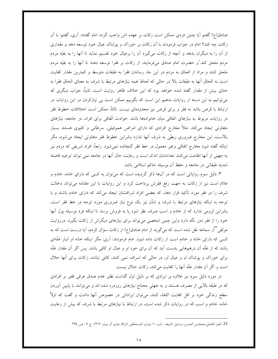صادق(ع) گفتم آیا چنین فردی ممکن است زکات بر عهده اش واجب گردد امام گفتند: آری، گفتم: با آن زکات چه کند؟ امام در جواب فرمودند با آن زکات بر خوراک و پوشاک عیال خود توسعه دهد و مقداری از آن را به دیگران بدهد و آنچه از زکات میگیرد آن را برعیال خود تقسیم نماید تا آنها را به بقیّه مردم مردم ملحق كند."و حضرت امام صادق مىفرمايند: از زكات بر فقرا توسعه دهند تا آنها را به بقيّه مردم ملحق کنند و مراد از الحاق به مردم در این جا، رساندن فقرا به طبقات متوسط و کمترین مقدار کفایت است نه الحاق أنها به طبقات بالا در حالي كه لحاظ همه نيازهاي مرتبط با شرف به معناي الحاق فقرا به حدَّى بيش از مقدار گفته شده خواهد بود كه اين خلاف ظاهر روايت است. ثانياً، جواب ديگرى كه میتوانیم به این دسته از روایات بدهیم این است که بگوییم ممکن است بی نیازکردن در این روایات در ارتباط با قرض باشد نه فقر و برای قرض نیز محدودهای نیست. ثالثاً، ممکن است اختلافات خطوط فقر در روایات مربوط به نیازهای اتفاقی میان خانوادهها باشد. حوادث اتّفاقی برای افراد، در جامعه، نیازهای متفاوتی ایجاد میکند. مثلاً مخارج افرادی که دارای امراض هموفیلی، سرطانی و کلیوی هستند بسیار بالاست، این مخارج ضروری ربطی به شرف آنها ندارد بنابراین خطوط فقر متفاوتی ایجاد می شود، مگر اینکه گفته شود مخارج اتفاقی وغیر معمول در خط فقر گنجانده نمیشود. رابعاً، افراد شریفی که مردم نیز به جهتي از آنها اطاعت مي كنند تعدادشان اندك است و رعايت حال آنها در جامعه نمي تواند توجيه فاصله شدید طبقاتی در جامعه و حفظ آن بوسیله حاکم اسلامی باشد.

۳. دلیل سوم روایاتی است که در آنها ذکر گردیده است که میتوان به کسی که دارای خانه، خادم و غلام است نیز از زکات به جهت رفع فقرش پرداخت کرد و این روایات با این مقدّمه میٍتواند دخالت شرف را در فقر مورد تأکید قرار دهد، که بعضی افراد شرافتشان ایجاد میکند که دارای خادم باشند و با توجه به اینکه نیازهای مرتبط با شرف و شأن نیز یک نوع نیاز ضروری مورد توجه در خط فقر است، بنابراین لزومی ندارد که از خادم و اسب صرف نظر شود یا به فروش برسد تا اینکه فرد بوسیله پول آنها خود را از فقر دور نگه دارد واین چنین شخصی میتواند برای نیازهای دیگرش از زکات بگیرد. درروایت موثقی "آز سماعه نقل شده است که میگوید از امام صادق(ع) از زکات سؤال کردم، آیا درست است که به کسی که دارای خانه و خادم است از زکات داده شود. امام فرمودند: آری، مگر اینکه خانه او انبار غلّهای باشد که از غلَّه اّن درهمهایی بدست اّید که اّن برای خود او و عیال او کافی باشد. پس اگر اّن مقدار غلَّه برای خوراک و پوشاک او و عیال او، در حالی که اسراف نمی کنند، کافی نباشد، زکات برای آنها حلال است و اگر أن مقدار غلّه أنها را كفايت مي كند، زكات حلال نيست.

در مورد دلیل سوم نیز علاوه بر ایرادی که بر دلیل اول گذشت نظیر عدم صدق عرفی فقیر بر افرادی که در طبقه بالایی از مصرف هستند و به جهتی محتاج نیازهای روزمره شده اند و میتوانند با پایین آوردن سطح زندگی خود بر اقل کفایت اکتفاء کنند، میتوان ایراداتی در خصوص آنها داشت و گفت که اولاً خانه، خادم و اسب که در روایات ذکر شده است، در ارتباط با نیازهای مرتبط با شرف که بیش از رعایت

<sup>33.</sup> الحرّ العاملي،محمّدبن الحسن، وسايل الشيعه ، باب ١٠ ابواب المستحقّين الزكاة چاپ آل بيت، ١۴١۶، ج ٩ ، ص ٢٣٥.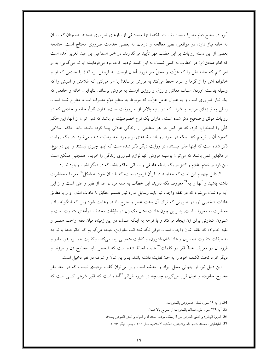أبرو در سطح دوٌم مصرف است، نیست بلکه، اینها مصادیقی از نیازهای ضروری هستند. همچنان که انسان به خانه نیاز دارد، در مواقعی، نظیر معالجه و درمان، به بعضی خدمات ضروری محتاج است، چنانچه بعضی از این دسته روایات بر این مطلب مهر تأیید میگذارند. در خبر اسماعیل بن عبد الغریز آمده است که امام صادق(ع) در خطاب به کسی نسبت به این کلمه تردید کرده بود میفرمایند: آیا تو میگویی: به او امر کنم که خانه اش را که عزّت و محلّ سر فرود آمدن اوست به فروش برساند؟ یا خادمی که او و خانواده اش را از گرما و سرما حفظ میکند به فروش برساند؟ یا امر میکنی که غلامش و اسبش را که وسیله بدست آوردن اسباب معاش و رزق و روزی اوست به فروش برساند. بنابراین، خانه و خادمی که یک نیاز ضروری است و به عنوان عامل عزّت که مربوط به سطح دوّم مصرف است، مطرح شده است، ربطی به نیازهای مرتبط با شرف که در رتبه بالاتر از ضروریّات است، ندارد. ثانیاً، خانه و خادمی که در روایات موثق و صحیح ذکر شده است ، دارای یک نوع خصوصیّت میباشد که نمی توان از آنها، این حکم کلّی را استخراج کرد، که هر کس در هر سطحی از زندگی عادتی پیدا کرده باشد، باید حاکم اسلامی کمبود اَن را ترمیم کند. بلکه در خود روایات، شاهدی بر وجود خصوصیّت دیده می شود. در یک روایت ذکر شده است که اینها مالی نیستند، در روایت دیگر ذکر شده است که اینها چیزی نیستند و این دو نوع، از مالهایی نمی باشند که می توان بوسیله فروش آنها لوازم ضروری زندگی را خرید، همچنین ممکن است بین فرد و خادم، غلام و کنیز او یک رابطه عاطفی و انسانی حاکم باشد که در دیگر اشیاء وجود ندارد.

۴. دلیل چهارم این است که خداوند در قرآن فرموده است، که با زنان خود به شکل<sup>۳ م</sup>عروف معاشرت داشته باشید و آنها را به°<sup>۳</sup> معروف نگه دارید، این خطاب به همه مردان اعم از فقیر و غنی است و از این اً یه برداشت می شود که در نفقه واجب نیز باید وسایل مورد نیاز همسر مطابق با عادات امثال او و یا مطابق عادات شخصی او، در صورتی که ترک آن باعث عسر و حرج باشد، رعایت شود زیرا که اینگونه رفتار معاشرت به معروف است، بنابراین چون عادات امثال یک زن در طبقات مختلف درآمدی متفاوت است و شئوون متفاوتی برای زن ایجاد میکند و با توجه به اینکه علماء، در این زمینه، میان نفقه واجب همسر و بقيه خانواده كه نفقه اشان واجب است، فرقي نگذاشته اند، بنابراين، نتيجه مي گيريم كه خانوادهها با توجه به طبقات متفاوت همسران و عاداتشان شئوون، و كفايت متفاوتى پيدا مى كنند وكفايت همسر، پدر، مادر و فرزندان در تعریف خطّ فقر در کلمات<sup>۳</sup> علماء لحاظ شده است که شخص باید مخارج زن و فرزند و ديگر افراد تحت تكلف خود را به حدّ كفايت داشته باشد، بنابراين شأن و شرف در فقر دخيل است.

این دلیل نیز، از جهاتی محل ایراد و خدشه است زیرا می توان گفت تردیدی نیست که در خط فقر مخارج خانواده و عیال قرار میگیرد، چنانچه در عروهٔ الوثقی<sup>۳۷</sup>آمده است که فقیر شرعی کسی است که

<sup>34.</sup> و أيه ١٩ سوره نساء، عاشروهن بالمعروف.

<sup>35.</sup> آيه ٢٢٩ سوره بقره،امساك بالمعروف او تسريح بالاحسان.

<sup>36.</sup> العروة الوثقي: وا لفقير الشرعي من لا يملك موذنة السنته له و لعياله و الغني الشرعي بخلافه.

<sup>37.</sup> الطباطبايي، محمّد كاظم، العروةالوثقي، المكتبه الاسلاميه، سال ١٣٩٩، چاپ ديگر ١٣٧۶.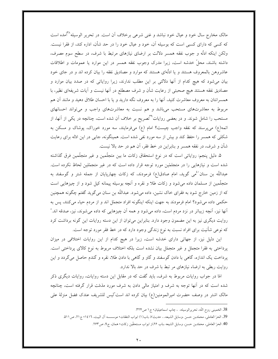مالک مخارج سال خود و عیال خود نباشد و غنی شرعی برخلاف آن است. در تحریر الوسیله<sup>۳۸</sup>آمده است که کسی که دارای کسبی است که بوسیله آن، خود و عیال خود را در حد شأن، اداره کند، از فقرا نیست. ولکن اینکه ادلّه و جوب نفقه همسر دلالت بر ارضای نیازهای مرتبط با شرف، در سطح سوم مصرف، داشته باشند، محلِّ خدشه است، زیرا مدرک وجوب نفقه همسر در این موارد یا عمومات و اطلاقات عاشروهن بالمعروف هستند و یا ادلَّهای هستند که موارد و مصادیق نفقه را بیان کرده اند و در جای خود بیان می شود که هیچ کدام از آنها دلالتی بر این مطلب ندارند، زیرا روایاتی که در صدد بیان موارد و مصاديق نفقه هستند هيچ صحبتي از رعايت شأن و شرف مصطلع در آنها نيست و آيات شريفهاي نظير، با همسرانتان به معروف معاشرت کنید، آنها را به معروف نگه دارید و یا با احسان طلاق دهید و مانند آن هم مربوط به معاشرتهای مستحب میباشد و هم نسبت به معاشرتهای واجب و میتواند احسانهای مستحب را شامل شوند. و در بعضی روایات<sup>۳۹</sup>تصریح بر خلاف آن شده است، چنانچه در یکی از آنها، از ائمه(ع) میپرسند که نفقه واجب چیست؟ امام (ع) میفرمایند، سه مورد خوراک، پوشاک و مسکن به شکلی که همسر را حفظ کند و بیش از سه مورد نفی شده است. همینگونه، جایی در این ادله برای رعایت شأن و شرف، در نفقه همسر و بنابراین در خط فقر، آن هم در حد بالا نیست.

۵. دلیل پنجم: روایاتی است که در نوع استحقاق زکات ما بین متجلّمین و غیر متجلّمین فرق گذاشته شده است و نیازهایی را در متجلمّین مورد توجه قرار داده است که در غیر متجمّلین لحاظ نکرده است. عبداللّه بن سنان کمی گوید، امام صادق(ع) فرمودند، که زکات چهارپایان از جمله شتر و گوسفند به متجلَّمین از مسلمان داده میشود و زکات طلا و نقره و اَنچه بوسیله پیمانه کیل شود و از چیزهایی است که از زمین خارج شود به فقرای خاک نشین، داده می شود. عبداللّه بن سنان می گوید گفتم چگونه همچنین حکمی داده می شود؟ امام فرمودند به جهت اینکه اینگونه افراد متجمّل اند و از مردم حیاء می کنند، پس به آنها نیز، آنچه زیباتر در نزد مردم است، داده می شود و همه آن چیزهایی که داده می شوند، نیز، صدقه اند." روایت دیگری نیز به این مضمون وجود دارد. بنابراین میتوان از این دسته روایات این گونه برداشت کرد که نوعی شأنیت برای افراد نسبت به نوع زندگی وجود دارد که در خط فقر مورد توجه است.

این دلیل نیز، از جهاتی دارای خدشه است، زیرا در هیچ کدام از این روایات اختلافی در میزان پرداختی به فقرا متجمّل و غیر متجمّل بیان نشده است بلکه اختلاف مربوط به نوع کالای پرداختی است. پرداخت یک اندازه، گاهی با دادن گوسفند و گاو و گاهی با دادن طلا، نقره و گندم حاصل میگردد و این روايت ربطي به ارضاء نيازهاي مر تبط با شرف در حد بالا ندارد.

امّا در جواب روایات مربوط به شرف، باید گفت که در مقابل این دسته روایات، روایات دیگری ذکر شده است که در آنها توجه به شرف و امتیاز مالی دادن به شرف مورد مذمّت قرار گرفته است، چنانچه مالک اشتر در وصف حضرت امیرالمومنین(ع) بیان کرده اند است"لیس للشریف عندک فضل منزلهٔ علی

<sup>38.</sup> الخميني روح اللّه، تحريرالوسيله، ، چاپ اسماعيليان، ج ١ ص٣٢۴.

<sup>39.</sup> الحرّ العاملي، محمّدبن حسن ،وسايل الشيعه، ، حديث٧، باب(١) ابواب النفقات٠ موسسسه آل البيت، ١٤١٦، ج ٢١، ص٥١١.

<sup>40.</sup> الحرّ العاملي، محمّدبن حسن، وسايل الشيعه ،باب ٢۶،از ابواب مستحقّين زكات، همان، ج4، ص٢۶٣.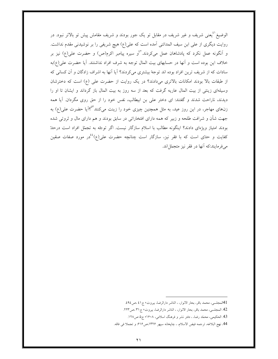الوضیغ<sup>۱،</sup>یعنی شریف و غیر شریف در مقابل تو یک جور بودند و شریف مقامش پیش تو بالاتر نبود. در روایت دیگری از علی ابن سیف المدائنی آمده است که علی(ع) هیچ شریفی را بر نوشیدنی مقدم نداشت. و اَنگونه عمل نکرد که پادشاهان عمل میکردند.<sup>۲</sup>ٔ و سیره پیامبر اکرم(ص) و حضرت علی(ع) نیز بر خلاف این بوده است و آنها در حسابهای بیت المال توجه به شرف افراد نداشتند. آیا حضرت علی(ع)به سادات که از شریف ترین افراد بوده اند توجه بیشتری میکردند؟ آیا آنها به اشراف زادگان و آن کسانی که از طبقات بالا بودند امکانات بالاتری میدادند؟ در یک روایت از حضرت علی (ع) است که دخترشان وسیلهای زینتی از بیت المال عاریه گرفت که بعد از سه روز به بیت المال باز گرداند و ایشان تا او را دیدند، ناراحت شدند و گفتند: ای دختر علی بن ابیطالب، نفس خود را از حق روی مگردان. آیا همه زنهای مهاجر، در این روز عید، به مثل همچنین چیزی خود را زینت میکنند<sup>۹۳</sup>آیا حضرت عل<sub>ی</sub>(ع) به جهت شأن و شرافت طلحه و زبیر که همه دارای افتخاراتی در سابق بودند و هم دارای مال و ثروتی شده بودند امتیاز ویژهای دادند؟ اینگونه مطالب با اسلام سازگار نیست. اگر توجّه به تجمّل افراد است درحدّ کفایت و حد<sub>ّ</sub>ی است که با فقر نیز، سازگار است چنانچه حضرت عل<sub>ی</sub>(ع)<sup>؛</sup>ٔدر مورد صفات صقین مي فرمايند:كه آنها در فقر نيز متجمّل اند.

<sup>41</sup>المجلسي، محمد باقر، بحار الانوار، ، الناشر دارالرضا، بيروت، ج٤١، ص٤٩٤.

<sup>42.</sup> المجلسي، محمد باقر، بحار الانوار، ، الناشر دارالرضا، بيروت، ج٣١،ص٣٢.

<sup>43.</sup> الحکیمی، محمّد رضا، ، دفتر نشر و فرهنگ اسلامی، ۱۶۰۸، ج۵ ص۱۲۸.

<sup>44.</sup> نهج البلاغه، ترجمه فيض الاسلام، ، چاپخانه سپهر ١٣٢۶،ص۶۱۶: و تجملا في فاقه.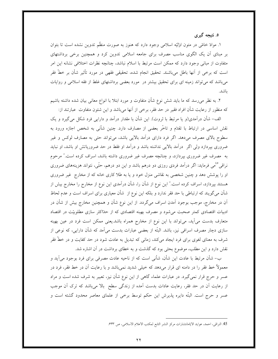### ٥. نتيجه گيري

۱. موادّ خامّی در متون اولیّه اسلامی وجود دارد که هنوز به صورت منظّم تدوین نشده است تا بتوان بر مبنای آن یک الگوی مناسب مصرف برای جامعه اسلامی تدوین کرد و همچنین برخی برداشتهای متفاوت از مبانی وجود دارد که ممکن است مرتبط با اسلام نباشد، چنانچه نظرات اختلافی نشانه این امر است که برخی از آنها باطل میباشند. تحقیق انجام شده، تحقیقی فقهی در مورد تأثیر شأن بر خطّ فقر میباشد که میتواند زمینه ای برای تحقیق بیشتر در مورد بعضی برداشتهای غلط از فقه اسلامی و روایات ىاشد.

۲. به نظر میرسد که ما باید شش نوع شأن متفاوت و مورد ابتلا با انواع معانی بیان شده داشته باشیم که منظور از رعایت شأن افراد فقیر در حد فقر، برخی از اَنها میباشد و این شئون متفاوت ًعبارتند از:

الف- شأن درآمدي(و يا مرتبط با ثروت). اين شأن با مقدار درآمد و دارايي فرد شكل مي گيرد و يک نقش اساسی در ارتباط با تقدّم و تاخّر بعضی از مصارف دارد. چنین شأنی به شخص اجازه ورود به سطوح بالای مصرف میدهد. اگر فرد دارای درآمد بالایی باشد، میتواند حتی به مصارف لوکس و غیر ضروری بپردازد ولی اگر ً درآمد بالایی نداشته باشد و درآمد او فقط در حد ضروریاتش او باشد، او نباید به مصرف غیر ضروری بپردازد، و چنانچه مصرف غیر ضروری داشته باشد، اسراف کرده است." مرحوم نراقی°<sup>،</sup>می فرماید: اگر درآمد فردی روزی دو درهم باشد و این دو درهم، حتّی، نتواند هزینههای ضروری او را پوشش دهد و چنین شخصی به نقاشی منزل خود و یا به طلا کاری خانه که از مخارج غیر ضروری هستند بپردازد، اسراف کرده است." این نوع از شأن را، شأن درآمدی این نوع از مخارج را مخارج بیش از شأن میگویند که ارتباطی با حد فقر ندارد و بلکه این نوع از شأن معیاری برای اسراف است و عدم لحاظ آن در مخارج، موجب بوجود آمدن اسراف میگردد. از این نوع شأن و همچنین مخارج بیش از شأن در ادبیات اقتصادی کمتر صحبت می شود و مصرف بهینه اقتصادی که از حدّاکثر سازی مطلوبیّت در اقتصاد متعارف بدست می آید، می تواند با این نوع از مخارج همراه باشد.یعنی ممکن است فرد در عین بهینه سازی دچار مصرف اسرافی نیز، باشد. البتّه از بعضی عبارات بدست میآمد که شأن دارایی، که نوعی از شرف به معنای لغوی برای فرد ایجاد میکند، زمانی که تبدیل به عادت شود در حد کفایت و در خطّ فقر نقش دارد و این مطلب، موضوع بحثی بود که گذشت و به خطای برداشت در آن اشاره شد.

ب– شأن مرتبط با عادت این شأن، شأنبی است که از ناحیه عادت مصرفی برای فرد بوجود می آید و معمولاً خط فقر را در دامنه ای قرار میدهد که خیلی شدید نمیباشد و با رعایت آن در خط فقر، فرد در عسر و حرج قرار نمی گیرد. در عبارات علماء گاهی از این نوع شأن نیز، تعبیر به شرف شده است و مراد از رعایت اَن در حد فقر، رعایت عادات بدست اَمده از زندگی سطح ِ بالا میِباشد که ترک اَن موجب عسر و حرج است. البتّه دایره پذیرش این حکم توسط برخی از علمای معاصر محدود گشته است و

<sup>45.</sup> النراقي، احمد، عوايد الايّامانتشارات مركز النشر التابع لمكتب الاعلام الاسلامي، ص ۶۳۳.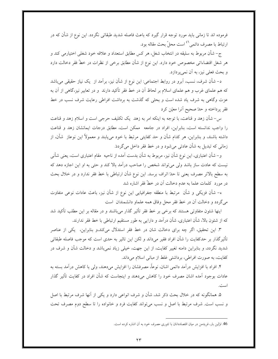فرموده اند تا زمانی باید مورد توجه قرار گیرد که باعث فاصله شدید طبقاتی نگردد. این نوع از شأن که در ارتباط با مصرف دائمی<sup>۶٬</sup> است محلّ بحث مقاله بود.

ج- شأن مربوط به سليقه در انتخاب شغل، هر كس مطابق استعداد و علاقه خود شغلي اختيارمي كند و هر شغل اقتضاءاتی مخصوص خود دارد. این نوع از شأن مطابق برخی از نظرات در خطّ فقر دخالت دارد و بحث فعلی نیز، به آن نمیپردازد.

د– شأن شرف، نسب، اَبرو در روابط اجتماعی: این نوع از شأن نیز، براَمد از یک نیاز حقیقی می باشد که هم علمای غرب و هم علمای اسلام بر لحاظ آن در خط فقر تأکید دارند و در تعابیر نیز،گاهی از آن به عزت وگاهی به شرف یاد شده است و بحثی که گذشت به برداشت افراطی رعایت شرف نسب در خط فقر پرداخته و حدّ صحیح آنرا معیّن کرد

س− شأن زهد و قناعت، با توجه به اینکه امر به زهد یک تکلیف حرجی است و اسلام زهد و قناعت را واجب ندانسته است، بنابراین، افراد در جامعه ً ممکن است، مطابق درجات ایمانشان زهد و قناعت داشته باشند، و بنابراین، هر کدام شأن و حد کفایتی مرتبط با خود می،یابند و معمولاً این نوعاز شأن، از زمانی که تبدیل به شأن عادتی میشود و در خط فقر داخل میگرددَ.

و– شأن اعتباري، اين نوع شأن نيز، مربوط به شأن بدست آمده از ناحيه ً مقام اعتباري است، يعني شأني نیست که عادت ساز باشد ولی میٍ تواند شخص را صاحب درآمد بالا کند و حتی به او این اجازه دهد که به سطح بالاتر مصرف يعني تا حدّ اتراف برسد. اين نوع شأن ارتباطي با خط فقر ندارد و در خلال بحث در مورد كلمات علما به عدم دخالت آن در خطّ فقر اشاره شد

ه– شأن فزيكي و شأن مرتبط با منطقه جغرافيايي اين نوع از شأن نيز، باعث عادات نوعي متفاوت میگردد و دخالت آن در خط فقر محل وفاق همه علماو دانشمندان است

اینها شئون متفاوتی هستند که برخی بر خط فقر تأثیر گذار میباشند و در مقاله بر این مطلب تأکید شد که از شئون بالا، شأن اعتباری، شأن درآمد و دارایی به طور مستقیم ارتباطی با خط فقر ندارند.

۳. این تحقیق، اگر چه برای دخالت شان در خط فقر استدلال میکند،و بنابراین، یکی از عناصر تأثیرگذار بر حدکفایت را شأن افراد فقیر میداند و لکن این تاثیر به حدی است که موجب فاصله طبقاتی شدید نگردد، و بنابراین دامنه تغییر کفایت، از این جهت، خیلی زیاد نمیباشد و دخالت شأن و شرف در کفایت، به صورت افراطی، برداشتی غلط از مبانی اسلام میداند.

۴. افراد با افزایش درآمد دائمی اشان، نوعاً، مصرفشان را افزایش میدهند، ولی با کاهش درآمد بسته به عادات بوجود آمده اشان مصرف خود را کاهش میدهند و اینجاست که شأن افراد در کفایت تأثیر گذار است.

۵. همانگونه که در خلال بحث ذکر شد، شأن و شرف انواعی دارد و یکی از آنها شرف مرتبط با اصل و نسب است. شرف مرتبط با اصل و نسب میٍتواند کفایت فرد و خانواده را تا سطح دوم مصرف تحت

<sup>46.</sup> اولین بار، فریدمن در میان اقتصاددانان با تئوری مصرف خود به آن اشاره کرده است.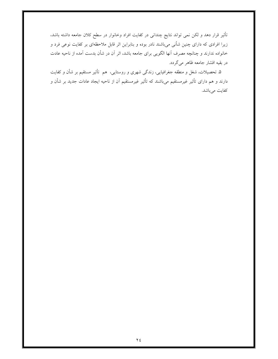تأثیر قرار دهد و لکن نمی تواند نتایج چندانی در کفایت افراد وخانوار در سطح کلان جامعه داشته باشد، زیرا افرادی که دارای چنین شأنی میباشند نادر بوده و بنابراین اثر قابل ملاحظهای بر کفایت نوعی فرد و خانواده ندارند و چنانچه مصرف آنها الگویی برای جامعه باشد، اثر آن در شأن بدست آمده از ناحیه عادت در بقیه اقشار جامعه ظاهر میگردد.

۵. تحصیلات، شغل و منطقه جغرافیایی، زندگی شهری و روستایی، هم تأثیر مستقیم بر شأن و کفایت دارند و هم دارای تأثیر غیرمستقیم میباشند که تأثیر غیرمستقیم آن از ناحیه ایجاد عادات جدید بر شأن و كفايت ميباشد.